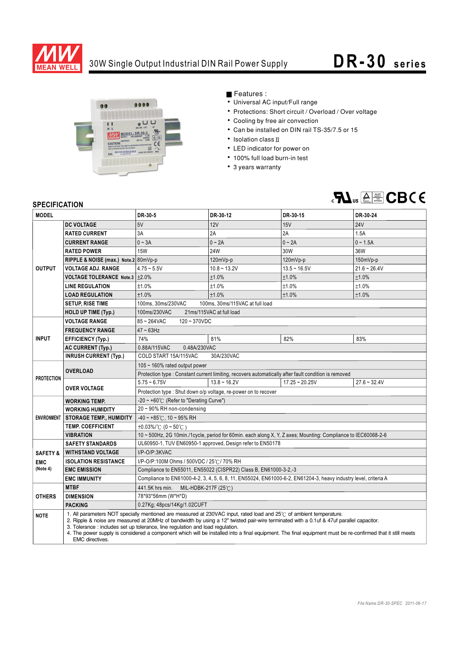

## 30W Single Output Industrial DIN Rail Power Supply **DR- 30 series**



Features :

- Universal AC input/Full range
- Protections: Short circuit / Overload / Over voltage
- Cooling by free air convection
- Can be installed on DIN rail TS-35/7.5 or 15
- $\cdot$  Isolation class  $\mathbb I$
- LED indicator for power on
- 100% full load burn-in test
- 3 years warranty



## **SPECIFICATION**

| <b>MODEL</b>                                                                            |                                                                                                                                                                                                                                                                                                                                                                                                                                                                                                                                          | DR-30-5                                                                                                         | DR-30-12       | DR-30-15         | DR-30-24       |
|-----------------------------------------------------------------------------------------|------------------------------------------------------------------------------------------------------------------------------------------------------------------------------------------------------------------------------------------------------------------------------------------------------------------------------------------------------------------------------------------------------------------------------------------------------------------------------------------------------------------------------------------|-----------------------------------------------------------------------------------------------------------------|----------------|------------------|----------------|
| <b>OUTPUT</b>                                                                           | <b>DC VOLTAGE</b>                                                                                                                                                                                                                                                                                                                                                                                                                                                                                                                        | 5V                                                                                                              | 12V            | 15V              | <b>24V</b>     |
|                                                                                         | <b>RATED CURRENT</b>                                                                                                                                                                                                                                                                                                                                                                                                                                                                                                                     | 3A                                                                                                              | 2A             | 2A               | 1.5A           |
|                                                                                         | <b>CURRENT RANGE</b>                                                                                                                                                                                                                                                                                                                                                                                                                                                                                                                     | $0 \sim 3A$                                                                                                     | $0 - 2A$       | $0 - 2A$         | $0 - 1.5A$     |
|                                                                                         | <b>RATED POWER</b>                                                                                                                                                                                                                                                                                                                                                                                                                                                                                                                       | <b>15W</b>                                                                                                      | 24W            | 30W              | 36W            |
|                                                                                         | RIPPLE & NOISE (max.) Note.2 80mVp-p                                                                                                                                                                                                                                                                                                                                                                                                                                                                                                     |                                                                                                                 | 120mVp-p       | 120mVp-p         | $150mVp-p$     |
|                                                                                         | <b>VOLTAGE ADJ. RANGE</b>                                                                                                                                                                                                                                                                                                                                                                                                                                                                                                                | $4.75 - 5.5V$                                                                                                   | $10.8 - 13.2V$ | $13.5 - 16.5V$   | $21.6 - 26.4V$ |
|                                                                                         | <b>VOLTAGE TOLERANCE Note.3</b>                                                                                                                                                                                                                                                                                                                                                                                                                                                                                                          | $\pm 2.0\%$                                                                                                     | ±1.0%          | ±1.0%            | ±1.0%          |
|                                                                                         | <b>LINE REGULATION</b>                                                                                                                                                                                                                                                                                                                                                                                                                                                                                                                   | ±1.0%                                                                                                           | ±1.0%          | ±1.0%            | ±1.0%          |
|                                                                                         | <b>LOAD REGULATION</b>                                                                                                                                                                                                                                                                                                                                                                                                                                                                                                                   | ±1.0%                                                                                                           | ±1.0%          | ±1.0%            | ±1.0%          |
|                                                                                         | <b>SETUP, RISE TIME</b>                                                                                                                                                                                                                                                                                                                                                                                                                                                                                                                  | 100ms, 30ms/230VAC<br>100ms, 30ms/115VAC at full load                                                           |                |                  |                |
|                                                                                         | <b>HOLD UP TIME (Typ.)</b>                                                                                                                                                                                                                                                                                                                                                                                                                                                                                                               | 100ms/230VAC<br>21ms/115VAC at full load                                                                        |                |                  |                |
| <b>INPUT</b>                                                                            | <b>VOLTAGE RANGE</b>                                                                                                                                                                                                                                                                                                                                                                                                                                                                                                                     | 85~264VAC<br>$120 - 370$ VDC                                                                                    |                |                  |                |
|                                                                                         | <b>FREQUENCY RANGE</b>                                                                                                                                                                                                                                                                                                                                                                                                                                                                                                                   | $47 - 63$ Hz                                                                                                    |                |                  |                |
|                                                                                         | <b>EFFICIENCY (Typ.)</b>                                                                                                                                                                                                                                                                                                                                                                                                                                                                                                                 | 74%                                                                                                             | 81%            | 82%              | 83%            |
|                                                                                         | <b>AC CURRENT (Typ.)</b>                                                                                                                                                                                                                                                                                                                                                                                                                                                                                                                 | 0.88A/115VAC<br>0.48A/230VAC                                                                                    |                |                  |                |
|                                                                                         | <b>INRUSH CURRENT (Typ.)</b>                                                                                                                                                                                                                                                                                                                                                                                                                                                                                                             | COLD START 15A/115VAC<br>30A/230VAC                                                                             |                |                  |                |
| <b>PROTECTION</b>                                                                       | <b>OVERLOAD</b>                                                                                                                                                                                                                                                                                                                                                                                                                                                                                                                          | 105 $\sim$ 160% rated output power                                                                              |                |                  |                |
|                                                                                         |                                                                                                                                                                                                                                                                                                                                                                                                                                                                                                                                          | Protection type : Constant current limiting, recovers automatically after fault condition is removed            |                |                  |                |
|                                                                                         | <b>OVER VOLTAGE</b>                                                                                                                                                                                                                                                                                                                                                                                                                                                                                                                      | $5.75 - 6.75V$                                                                                                  | $13.8 - 16.2V$ | $17.25 - 20.25V$ | $27.6 - 32.4V$ |
|                                                                                         |                                                                                                                                                                                                                                                                                                                                                                                                                                                                                                                                          | Protection type : Shut down o/p voltage, re-power on to recover                                                 |                |                  |                |
| <b>ENVIRONMENT</b>                                                                      | <b>WORKING TEMP.</b>                                                                                                                                                                                                                                                                                                                                                                                                                                                                                                                     | -20 ~ +60° $\mathrm{C}$ (Refer to "Derating Curve")                                                             |                |                  |                |
|                                                                                         | <b>WORKING HUMIDITY</b>                                                                                                                                                                                                                                                                                                                                                                                                                                                                                                                  | 20~90% RH non-condensing                                                                                        |                |                  |                |
|                                                                                         | <b>STORAGE TEMP., HUMIDITY</b>                                                                                                                                                                                                                                                                                                                                                                                                                                                                                                           | $-40 \sim +85^{\circ}$ C, 10 ~ 95% RH                                                                           |                |                  |                |
|                                                                                         | <b>TEMP. COEFFICIENT</b>                                                                                                                                                                                                                                                                                                                                                                                                                                                                                                                 | $\pm 0.03\%$ /°C (0 ~ 50°C)                                                                                     |                |                  |                |
|                                                                                         | <b>VIBRATION</b>                                                                                                                                                                                                                                                                                                                                                                                                                                                                                                                         | 10 ~ 500Hz, 2G 10min./1cycle, period for 60min. each along X, Y, Z axes; Mounting: Compliance to IEC60068-2-6   |                |                  |                |
|                                                                                         | <b>SAFETY STANDARDS</b>                                                                                                                                                                                                                                                                                                                                                                                                                                                                                                                  | UL60950-1, TUV EN60950-1 approved, Design refer to EN50178<br>I/P-O/P:3KVAC                                     |                |                  |                |
| <b>SAFETY &amp;</b>                                                                     | <b>WITHSTAND VOLTAGE</b>                                                                                                                                                                                                                                                                                                                                                                                                                                                                                                                 |                                                                                                                 |                |                  |                |
| <b>ISOLATION RESISTANCE</b><br>I/P-O/P:100M Ohms / 500VDC / 25°C / 70% RH<br><b>EMC</b> |                                                                                                                                                                                                                                                                                                                                                                                                                                                                                                                                          |                                                                                                                 |                |                  |                |
| (Note 4)                                                                                | <b>EMC EMISSION</b>                                                                                                                                                                                                                                                                                                                                                                                                                                                                                                                      | Compliance to EN55011, EN55022 (CISPR22) Class B, EN61000-3-2,-3                                                |                |                  |                |
|                                                                                         | <b>EMC IMMUNITY</b>                                                                                                                                                                                                                                                                                                                                                                                                                                                                                                                      | Compliance to EN61000-4-2, 3, 4, 5, 6, 8, 11, EN55024, EN61000-6-2, EN61204-3, heavy industry level, criteria A |                |                  |                |
| <b>OTHERS</b>                                                                           | <b>MTBF</b>                                                                                                                                                                                                                                                                                                                                                                                                                                                                                                                              | 441.5K hrs min.<br>MIL-HDBK-217F (25 $°C$ )                                                                     |                |                  |                |
|                                                                                         | <b>DIMENSION</b>                                                                                                                                                                                                                                                                                                                                                                                                                                                                                                                         | 78*93*56mm (W*H*D)                                                                                              |                |                  |                |
|                                                                                         | <b>PACKING</b>                                                                                                                                                                                                                                                                                                                                                                                                                                                                                                                           | 0.27Kg; 48pcs/14Kg/1.02CUFT                                                                                     |                |                  |                |
| <b>NOTE</b>                                                                             | 1. All parameters NOT specially mentioned are measured at 230VAC input, rated load and 25°C of ambient temperature.<br>2. Ripple & noise are measured at 20MHz of bandwidth by using a 12" twisted pair-wire terminated with a 0.1uf & 47uf parallel capacitor.<br>3. Tolerance: includes set up tolerance, line regulation and load regulation.<br>4. The power supply is considered a component which will be installed into a final equipment. The final equipment must be re-confirmed that it still meets<br><b>EMC</b> directives. |                                                                                                                 |                |                  |                |